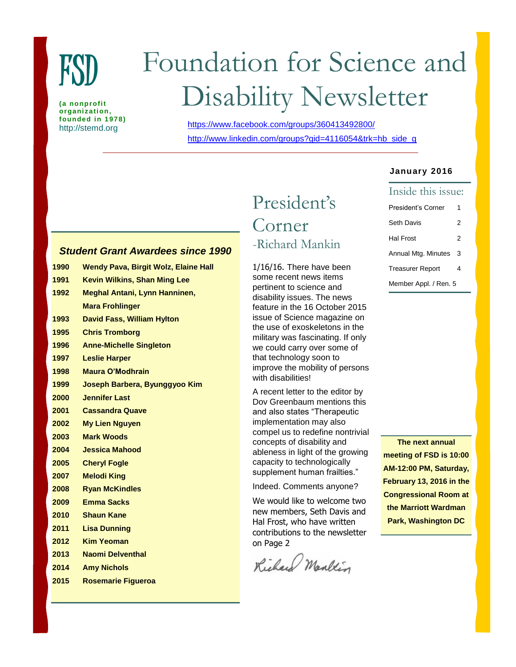

**(a nonprofit organization, founded in 1978)**

# Foundation for Science and Disability Newsletter

http://stemd.org <https://www.facebook.com/groups/360413492800/> [http://www.linkedin.com/groups?gid=4116054&trk=hb\\_side\\_g](http://www.linkedin.com/groups?gid=4116054&trk=hb_side_g)

## *Student Grant Awardees since 1990*

| 1990 | <b>Wendy Pava, Birgit Wolz, Elaine Hall</b> |
|------|---------------------------------------------|
| 1991 | <b>Kevin Wilkins, Shan Ming Lee</b>         |
| 1992 | <b>Meghal Antani, Lynn Hanninen,</b>        |
|      | <b>Mara Frohlinger</b>                      |
| 1993 | <b>David Fass, William Hylton</b>           |
| 1995 | <b>Chris Tromborg</b>                       |
| 1996 | <b>Anne-Michelle Singleton</b>              |
| 1997 | <b>Leslie Harper</b>                        |
| 1998 | <b>Maura O'Modhrain</b>                     |
| 1999 | Joseph Barbera, Byunggyoo Kim               |
| 2000 | <b>Jennifer Last</b>                        |
| 2001 | <b>Cassandra Quave</b>                      |
| 2002 | <b>My Lien Nguyen</b>                       |
| 2003 | <b>Mark Woods</b>                           |
| 2004 | <b>Jessica Mahood</b>                       |
| 2005 | <b>Cheryl Fogle</b>                         |
| 2007 | <b>Melodi King</b>                          |
| 2008 | <b>Ryan McKindles</b>                       |
| 2009 | <b>Emma Sacks</b>                           |
| 2010 | <b>Shaun Kane</b>                           |
| 2011 | <b>Lisa Dunning</b>                         |
| 2012 | <b>Kim Yeoman</b>                           |
| 2013 | Naomi Delventhal                            |
| 2014 | <b>Amy Nichols</b>                          |
|      |                                             |

**2015 Rosemarie Figueroa**

# President's Corner -Richard Mankin

1/16/16. There have been some recent news items pertinent to science and disability issues. The news feature in the 16 October 2015 issue of Science magazine on the use of exoskeletons in the military was fascinating. If only we could carry over some of that technology soon to improve the mobility of persons with disabilities!

A recent letter to the editor by Dov Greenbaum mentions this and also states "Therapeutic implementation may also compel us to redefine nontrivial concepts of disability and ableness in light of the growing capacity to technologically supplement human frailties."

Indeed. Comments anyone?

We would like to welcome two new members, Seth Davis and Hal Frost, who have written contributions to the newsletter on Page 2

Richard Marken

#### **January 2016**

| Inside this issue:      |   |  |  |
|-------------------------|---|--|--|
| President's Corner      | 1 |  |  |
| Seth Davis              | 2 |  |  |
| Hal Frost               | 2 |  |  |
| Annual Mtg. Minutes     | 3 |  |  |
| <b>Treasurer Report</b> | 4 |  |  |
| Member Appl. / Ren. 5   |   |  |  |

**The next annual meeting of FSD is 10:00 AM-12:00 PM, Saturday, February 13, 2016 in the Congressional Room at the Marriott Wardman Park, Washington DC**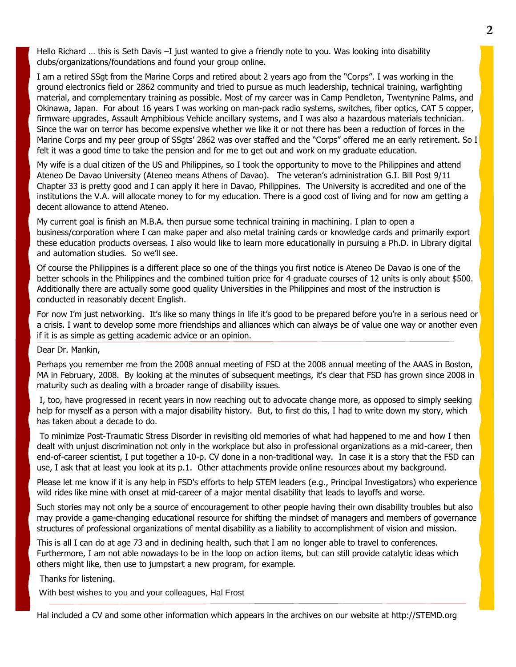Hello Richard … this is Seth Davis –I just wanted to give a friendly note to you. Was looking into disability clubs/organizations/foundations and found your group online.

I am a retired SSgt from the Marine Corps and retired about 2 years ago from the "Corps". I was working in the ground electronics field or 2862 community and tried to pursue as much leadership, technical training, warfighting material, and complementary training as possible. Most of my career was in Camp Pendleton, Twentynine Palms, and Okinawa, Japan. For about 16 years I was working on man-pack radio systems, switches, fiber optics, CAT 5 copper, firmware upgrades, Assault Amphibious Vehicle ancillary systems, and I was also a hazardous materials technician. Since the war on terror has become expensive whether we like it or not there has been a reduction of forces in the Marine Corps and my peer group of SSgts' 2862 was over staffed and the "Corps" offered me an early retirement. So I felt it was a good time to take the pension and for me to get out and work on my graduate education.

My wife is a dual citizen of the US and Philippines, so I took the opportunity to move to the Philippines and attend Ateneo De Davao University (Ateneo means Athens of Davao). The veteran's administration G.I. Bill Post 9/11 Chapter 33 is pretty good and I can apply it here in Davao, Philippines. The University is accredited and one of the institutions the V.A. will allocate money to for my education. There is a good cost of living and for now am getting a decent allowance to attend Ateneo.

My current goal is finish an M.B.A. then pursue some technical training in machining. I plan to open a business/corporation where I can make paper and also metal training cards or knowledge cards and primarily export these education products overseas. I also would like to learn more educationally in pursuing a Ph.D. in Library digital and automation studies. So we'll see.

Of course the Philippines is a different place so one of the things you first notice is Ateneo De Davao is one of the better schools in the Philippines and the combined tuition price for 4 graduate courses of 12 units is only about \$500. Additionally there are actually some good quality Universities in the Philippines and most of the instruction is conducted in reasonably decent English.

For now I'm just networking. It's like so many things in life it's good to be prepared before you're in a serious need or a crisis. I want to develop some more friendships and alliances which can always be of value one way or another even if it is as simple as getting academic advice or an opinion.

#### Dear Dr. Mankin,

Perhaps you remember me from the 2008 annual meeting of FSD at the 2008 annual meeting of the AAAS in Boston, MA in February, 2008. By looking at the minutes of subsequent meetings, it's clear that FSD has grown since 2008 in maturity such as dealing with a broader range of disability issues.

I, too, have progressed in recent years in now reaching out to advocate change more, as opposed to simply seeking help for myself as a person with a major disability history. But, to first do this, I had to write down my story, which has taken about a decade to do.

To minimize Post-Traumatic Stress Disorder in revisiting old memories of what had happened to me and how I then dealt with unjust discrimination not only in the workplace but also in professional organizations as a mid-career, then end-of-career scientist, I put together a 10-p. CV done in a non-traditional way. In case it is a story that the FSD can use, I ask that at least you look at its p.1. Other attachments provide online resources about my background.

Please let me know if it is any help in FSD's efforts to help STEM leaders (e.g., Principal Investigators) who experience wild rides like mine with onset at mid-career of a major mental disability that leads to layoffs and worse.

Such stories may not only be a source of encouragement to other people having their own disability troubles but also may provide a game-changing educational resource for shifting the mindset of managers and members of governance structures of professional organizations of mental disability as a liability to accomplishment of vision and mission.

This is all I can do at age 73 and in declining health, such that I am no longer able to travel to conferences. Furthermore, I am not able nowadays to be in the loop on action items, but can still provide catalytic ideas which others might like, then use to jumpstart a new program, for example.

Thanks for listening.

With best wishes to you and your colleagues, Hal Frost

Hal included a CV and some other information which appears in the archives on our website at http://STEMD.org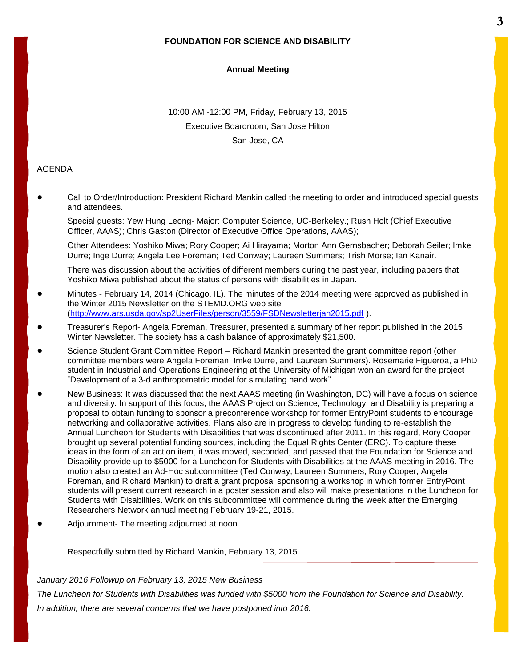#### **FOUNDATION FOR SCIENCE AND DISABILITY**

#### **Annual Meeting**

10:00 AM -12:00 PM, Friday, February 13, 2015 Executive Boardroom, San Jose Hilton San Jose, CA

#### AGENDA

! Call to Order/Introduction: President Richard Mankin called the meeting to order and introduced special guests and attendees.

Special guests: Yew Hung Leong- Major: Computer Science, UC-Berkeley.; Rush Holt (Chief Executive Officer, AAAS); Chris Gaston (Director of Executive Office Operations, AAAS);

Other Attendees: Yoshiko Miwa; Rory Cooper; Ai Hirayama; Morton Ann Gernsbacher; Deborah Seiler; Imke Durre; Inge Durre; Angela Lee Foreman; Ted Conway; Laureen Summers; Trish Morse; Ian Kanair.

There was discussion about the activities of different members during the past year, including papers that Yoshiko Miwa published about the status of persons with disabilities in Japan.

- Minutes February 14, 2014 (Chicago, IL). The minutes of the 2014 meeting were approved as published in the Winter 2015 Newsletter on the STEMD.ORG web site [\(http://www.ars.usda.gov/sp2UserFiles/person/3559/FSDNewsletterjan2015.pdf](http://www.ars.usda.gov/sp2UserFiles/person/3559/FSDNewsletterjan2015.pdf) ).
- ! Treasurer's Report- Angela Foreman, Treasurer, presented a summary of her report published in the 2015 Winter Newsletter. The society has a cash balance of approximately \$21,500.
- Science Student Grant Committee Report Richard Mankin presented the grant committee report (other committee members were Angela Foreman, Imke Durre, and Laureen Summers). Rosemarie Figueroa, a PhD student in Industrial and Operations Engineering at the University of Michigan won an award for the project "Development of a 3-d anthropometric model for simulating hand work".
- New Business: It was discussed that the next AAAS meeting (in Washington, DC) will have a focus on science and diversity. In support of this focus, the AAAS Project on Science, Technology, and Disability is preparing a proposal to obtain funding to sponsor a preconference workshop for former EntryPoint students to encourage networking and collaborative activities. Plans also are in progress to develop funding to re-establish the Annual Luncheon for Students with Disabilities that was discontinued after 2011. In this regard, Rory Cooper brought up several potential funding sources, including the Equal Rights Center (ERC). To capture these ideas in the form of an action item, it was moved, seconded, and passed that the Foundation for Science and Disability provide up to \$5000 for a Luncheon for Students with Disabilities at the AAAS meeting in 2016. The motion also created an Ad-Hoc subcommittee (Ted Conway, Laureen Summers, Rory Cooper, Angela Foreman, and Richard Mankin) to draft a grant proposal sponsoring a workshop in which former EntryPoint students will present current research in a poster session and also will make presentations in the Luncheon for Students with Disabilities. Work on this subcommittee will commence during the week after the Emerging Researchers Network annual meeting February 19-21, 2015.
- Adjournment- The meeting adjourned at noon.

Respectfully submitted by Richard Mankin, February 13, 2015.

*January 2016 Followup on February 13, 2015 New Business The Luncheon for Students with Disabilities was funded with \$5000 from the Foundation for Science and Disability. In addition, there are several concerns that we have postponed into 2016:*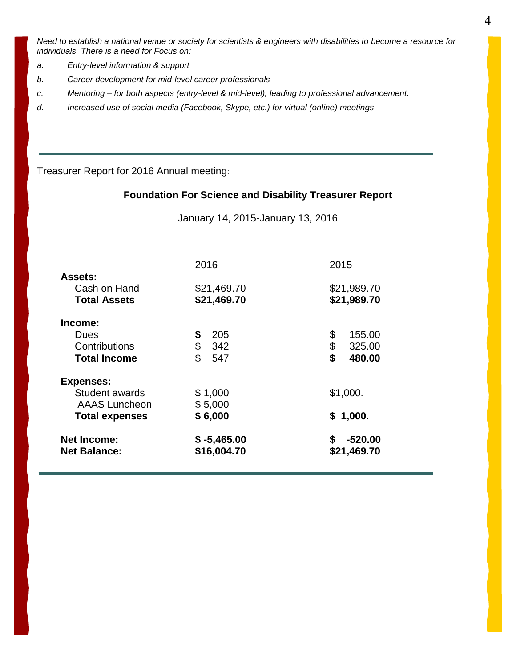*Need to establish a national venue or society for scientists & engineers with disabilities to become a resource for individuals. There is a need for Focus on:*

- *a. Entry-level information & support*
- *b. Career development for mid-level career professionals*
- *c. Mentoring – for both aspects (entry-level & mid-level), leading to professional advancement.*
- *d. Increased use of social media (Facebook, Skype, etc.) for virtual (online) meetings*

Treasurer Report for 2016 Annual meeting:

## **Foundation For Science and Disability Treasurer Report**

January 14, 2015-January 13, 2016

| 2016                         | 2015                           |
|------------------------------|--------------------------------|
|                              | \$21,989.70                    |
| \$21,469.70                  | \$21,989.70                    |
|                              |                                |
| 205                          | \$<br>155.00                   |
| \$<br>342                    | \$<br>325.00                   |
| \$<br>547                    | \$<br>480.00                   |
|                              |                                |
| \$1,000                      | \$1,000.                       |
| \$5,000                      |                                |
| \$6,000                      | \$1,000.                       |
| $$ -5,465.00$<br>\$16,004.70 | $-520.00$<br>S.<br>\$21,469.70 |
|                              | \$21,469.70<br>\$              |